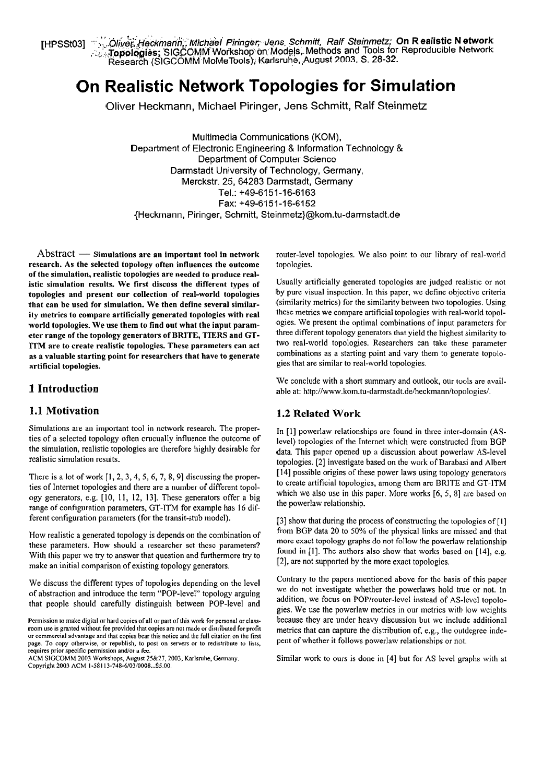resstos] (الأَرْبَعَةِ Heckmann, Michael Piringer, Jens Schmitt, Ralf Steinmetz; On Realistic Network]<br>آية: Topologies; SIGCOMM Workshop on Models, Methods and Tools for Reproducible Network.<br>مُنْ المُسْتَدَامُ الْعَلَى ا Research (SIGCOMM.MoMeTools); Karlsruhe,,August 2003. S. 28-32.

# **On Realistic Network Topologies for Simulation**

Oliver Heckmann, Michael Piringer, Jens Schmitt, Ralf Steinmetz

Multimedia Communications (KOM), Department of Electronic Engineering & Information Technology & Department of Computer Science Darmstadt University of Technology, Germany, Merckstr. 25, 64283 Darmstadt, Germany Tel.: +49-6151-16-6163 Fax: +49-6151-16-6152 {Heckmann, Piringer, Schmitt, Steinmetz)@kom.tu-darmstadt.de

 $Abstract \longrightarrow$  Simulations are an important tool in network research. As the selected topology often influences the outcome of the simulation, realistic topologies are needed to produce realistic simulation results. We first discuss the different types of topologies and present our collection of real-world topologies that can be used for simulation. We then define several similarity metrics to compare artificially generated topologies with real world topologies. We use them to find out what the input parameter range of the topology generators of BRITE, TIERS and **GT-**ITM are to create realistic topologies. These parameters can act as a valuable starting point for researchers that have to generate artificial topologies.

#### **1 Introduction**

Simulations are an important tool in network research. The proper-<br>ties of a selected topology often crucually influence the outcome of<br>the simulation, realistic topologies are therefore highly desirable for<br>data. This pa the simulation, realistic topologies are therefore highly desirable for data. This paper opened up a discussion about powerlaw AS-level<br>topologies [21] investigate based on the work of Barabasi and Albert

ties of Internet topologies and there are a number of different topol-<br>one contract topologies and them are a number of different topol-<br>which we also use in this paper. More works [6, 5, 8] are based on ogy generators, e.g.  $[10, 11, 12, 13]$ . These generators offer a big which we also use in this  $[6, 6, 6]$  are based on figure in this paper. More works are based on the powerlaw relationship. range of configuration parameters, GT-ITM for example has 16 different configuration parameters (for the transit-stub model). [3] show that during the process of constructing the topologies of [1]

these parameters. How should a researcher set these parameters? With this paper we try to answer that question and furthermore try to found in [1]. The authors also show that works based on [14], e.g.  $\frac{1}{4}$ , e.g. make an initial comparison of existing topology generators.

of abstraction and introduce the term "POP-level" topology arguing<br>that people should examine interval between POP level and addition, we focus on POP/router-level instead of AS-level topolothat people should carefully distinguish between POP-level and

router-level topologies. We also point to our library of real-world topologies.

Usually artificially generated topologies are judged realistic or not by pure visual inspection. In this paper, we define objective criteria (similarity metrics) for the similarity between two topologies. Using these metrics we compare artificial topologies with real-world topologies. We present the optimal combinations of input parameters for three different topology generators that yield the highest similarity to two real-world topologies. Researchers can take these parameter combinations as a starting point and vary them to generate topologies that are similar to real-world topologies.

We conclude with a short summary and outlook, our tools are available at: http://www.kom.tu-darmstadt.de/heckmann/topologies/.

# **1.1 Motivation 1.2 Related Work**

topologies. [2] investigate based on the work of Barabasi and Albert [14] possible origins of these power laws using topology generators There is a lot of work [1, 2, 3, 4, 5, 6, 7, 8, 9] discussing the proper-<br>tion of Internet topologies and there are a number of different topol<br>to create artificial topologies, among them are BRITE and GT-ITM

How realistic a generated topology is depends on the combination of from BGP data 20 to 50% of the physical links are missed and that<br>these parameters. How should a researcher set these parameters? more exact topology grap

We discuss the different types of topologies depending on the level<br>
Solution and introduce the term "DOD layel" topology equipe we do not investigate whether the powerlaws hold true or not. In gies. We use the powerlaw metrics in our metrics with low weights Permission to make digital or hard copies of all or part of this work for personal or class-<br>
room use is granted without fee provided that copies are not made or distributed for profit<br>
or commercial advantage and that co

or continuous and the main computer of the page. To copy otherwise, pent of whether it follows powerlaw relationships or request or to permission and/or a fee.

ACM SIGCOMM 2003 Workshops, August 25&27, 2003, Karlsruhe, Germany. Similar work to ours is done in [4] but for AS level graphs with at Copyright 2003 ACM 1-58113-748-6/03/0008...\$5.00.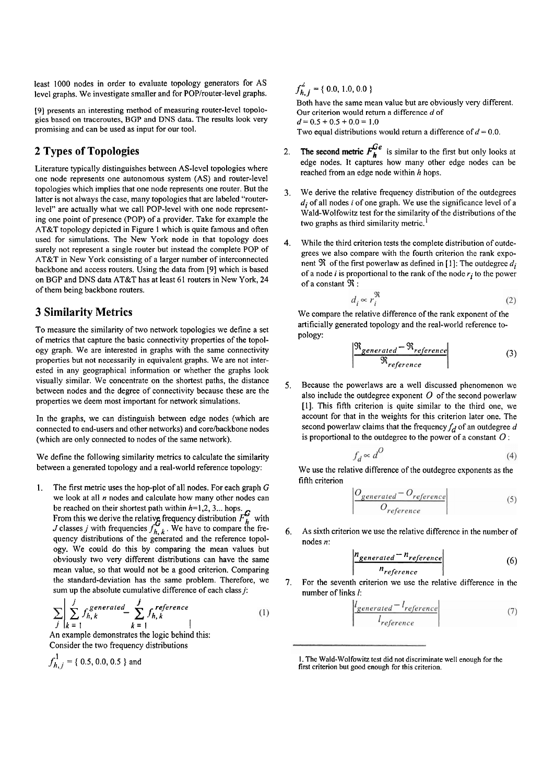least 1000 nodes in order to evaluate topology generators for AS level graphs. We investigate smaller and for POP/router-level graphs.

[9] presents an interesting method of measuring router-level topologies based on traceroutes, BGP and DNS data. The results look very promising and can be used as input for our tool.

## **2 Types of Topologies**

Literature typically distinguishes between AS-level topologies where one node represents one autonomous system (AS) and router-level topologies which implies that one node represents one router. But the latter is not always the case, many topologies that are labeled "routerlevel" are actually what we call POP-level with one node representing one point of presence (POP) of a provider. Take for example the AT&T topology depicted in Figure I which is quite famous and often used for simulations. The New York node in that topology does surely not represent a single router but instead the complete POP of AT&T in New York consisting of a larger number of interconnected backbone and access routers. Using the data from [9] which is based on BGP and DNS data AT&T has at least 61 routers in New York, 24 of them being backbone routers.

### **3 Similarity Metrics**

To measure the similarity of two network topologies we define a set of mehics that capture the basic connectivity properties of the topology graph. We are interested in graphs with the same connectivity properties but not necessarily in equivalent graphs. We are not interested in any geographical information or whether the graphs look visually similar. We concentrate on the shortest paths, the distance between nodes and the degree of connectivity because these are the properties we deem most important for network simulations.

In the graphs, we can distinguish between edge nodes (which are connected to end-users and other networks) and core/backbone nodes (which are only connected to nodes of the same network).

We define the following similarity metrics to calculate the similarity between a generated topology and a real-world reference topology:

1. The first metric uses the hop-plot of all nodes. For each graph G we look at all *n* nodes and calculate how many other nodes can<br>be reached on their shortest path within  $h=1,2,3...$  hops.

be reached on their shortest path within  $h=1,2,3...$  hops. *G*<br>From this we derive the relative frequency distribution  $F_h^G$  with *J* classes *j* with frequencies  $f_{h, k}^G$ . We have to compare the frequency distributions of the generated and the reference topology. We could do this by comparing the mean values but obviously two very different distributions can have the same mean value, so that would not be a good criterion. Comparing the standard-deviation has the same problem. Therefore, we

sum up the absolute cumulative difference of each class *j*:  
\n
$$
\sum_{j} \left| \sum_{k=1}^{j} f_{h,k}^{generated} - \sum_{k=1}^{j} f_{h,k}^{reference} \right|
$$
\n(1)

An example demonstrates the logic behind this: Consider the two frequency distributions

$$
f_{h,j}^1 = \{ 0.5, 0.0, 0.5 \} \text{ and}
$$

 $f_{h, i}^2$  = { 0.0, 1.0, 0.0 }

Both have the same mean value but are obviously very different. Our criterion would return a difference d of  $d=0.5+0.5+0.0=1.0$ Two equal distributions would return a difference of  $d = 0.0$ .

- 2. The second metric  $F_h^{Ge}$  is similar to the first but only looks at edge nodes. It captures how many other edge nodes can be reached from an edge node within h hops.
- 3. We derive the relative frequency distribution of the outdegrees  $d_i$  of all nodes i of one graph. We use the significance level of a Wald-Wolfowitz test for the similarity of the distributions of the two graphs as third similarity metric.<sup>1</sup>
- 4. While the third criterion tests the complete distribution of outdegrees we also compare with the fourth criterion the rank exponent  $\Re$  of the first powerlaw as defined in [1]: The outdegree  $d_i$ of a node i is proportional to the rank of the node *ri* to the power of a constant **3** :

$$
d_i \propto r_i^{\mathfrak{R}} \tag{2}
$$

We compare the relative difference of the rank exponent of the artificially generated topology and the real-world reference topology:

$$
\frac{\Re_{generated} - \Re_{reference}}{\Re_{reference}}
$$
 (3)

**5.** Because the powerlaws are a well discussed phenomenon we also include the outdegree exponent  $O$  of the second powerlaw [I]. This fifth criterion is quite similar to the third one, we account for that in the weights for this criterion later one. The second powerlaw claims that the frequency  $f_d$  of an outdegree d is proportional to the outdegree to the power of a constant  $O$ :

$$
f_d \propto d^O \tag{4}
$$

We use the relative difference of the outdegree exponents as the fifth criterion

$$
\left| \frac{O_{generated} - O_{reference}}{O_{reference}} \right| \tag{5}
$$

*6.* As sixth criterion we use the relative difference in the number of nodes n:

$$
\left|\frac{n_{generated} - n_{reference}}{n_{reference}}\right| \tag{6}
$$

7. For the seventh criterion we use the relative difference in the number of links I:

$$
\frac{l_{generated} - l_{reference}}{l_{reference}}
$$
 (7)

I. The Wald-Wolfowitz lest did not discriminate well enough for the first criterion but good enough for this criterion.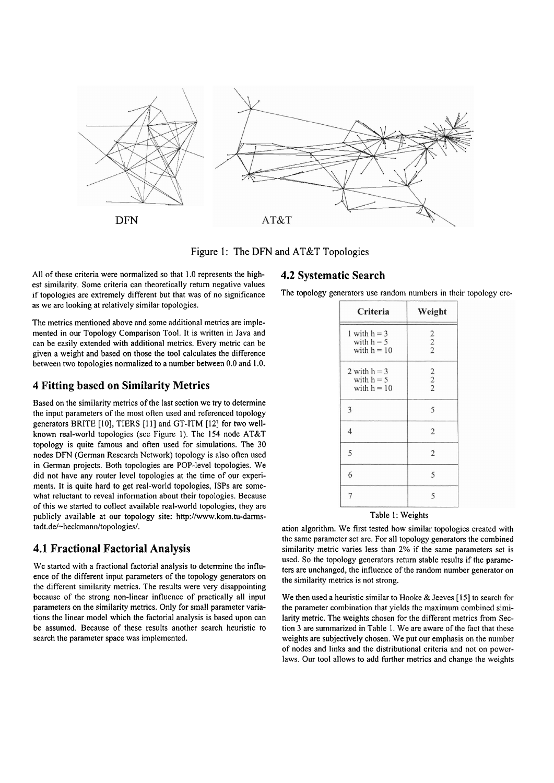

Figure 1: The DFN and AT&T Topologies

All of these criteria were normalized so that 1.0 represents the highest similarity. Some criteria can theoretically retum negative values if topologies are extremeiy different but that was of no significance as we are looking at relatively similar topologies.

The metrics mentioned above and some additional metrics are implemented in our Topology Comparison Tool. It is written in Java and can be easily extended with additional metrics. Every metric can be given a weight and based on those the tool calculates the difference between two topologies normalized to a number between 0.0 and 1 .O.

#### **4 Fitting based on Similarity Metrics**

Based on the similarity metrics of the last section we **try** to determine the input parameters of the most often used and referenced topology generators BRITE [IO], TIERS [I 11 and GT-ITM [I21 for two wellknown real-world topologies (see Figure 1). The 154 node AT&T topology is quite famous and often used for simulations. The 30 nodes DFN (German Research Network) topology is also often used in German projects. Both topologies are POP-level topologies. We did not have any router level topologies at the time of our experiments. It is quite hard to get real-world topologies, ISPs are somewhat reluctant to reveal information about their topologies. Because of this we started to collect available real-world topologies, they are publicly available at our topology site: http://www.kom.tu-darmstadt.de/-heckmann/topologies/.

#### **4.1 Fractional Factorial Analysis**

We started with a fractional factorial analysis **to** determine the influence of the different input parameters of the topology generators on the different similarity metrics. The results were very disappointing because of the strong non-linear influence of practically all input parameters on the similarity metrics. Only for small parameter variations the linear model which the factorial analysis is based upon can be assumed. Because of these results another search heuristic to search the parameter space was implemented.

#### **4.2 Systematic Search**

The topology generators use random numbers in their topology cre-

| Criteria                                        | Weight         |
|-------------------------------------------------|----------------|
| 1 with $h = 3$<br>with $h = 5$<br>with $h = 10$ | $\frac{2}{2}$  |
| 2 with $h = 3$<br>with $h = 5$<br>with $h = 10$ | $\frac{2}{2}$  |
| 3                                               | 5              |
| $\overline{4}$                                  | $\overline{2}$ |
| 5                                               | $\overline{2}$ |
| 6                                               | 5              |
| 7                                               | 5              |

#### Table 1: Weights

ation algorithm. We first tested how similar topologies created with the same parameter set are. For all topology generators the combined similarity metric varies less than 2% if the Same parameters set is used. So the topology generators return stable results if the parameters are unchanged, the influence of the random number generator on the similarity metrics is not strong.

We then used a heuristic similar to Hooke & Jeeves [I **51** to search for the parameter combination that yields the maximum combined similarity metric. The weights chosen for the different metrics from Section 3 are summarized in Table 1. We are aware of the fact that these weights are subjectively chosen. We put our emphasis on the number of nodes and links and the distributional criteria and not on powerlaws. Our tool allows to add further metrics and change the weights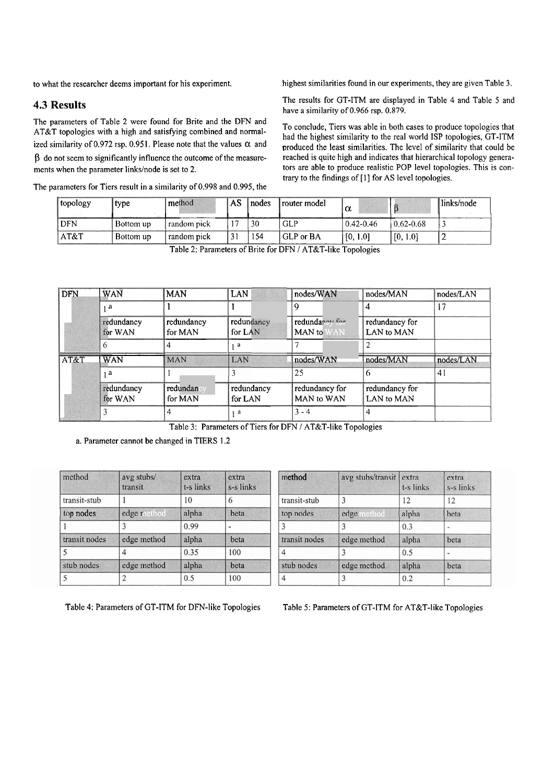to what the researcher deems important for his experiment.

#### **4.3 Results**

The parameters of Table 2 were found for Brite and the DFN and AT&T topologies with a high and satisfying combined and normalized similarity of 0.972 rsp. 0.951. Please note that the values  $\alpha$  and  $\beta$  do not seem to significantly influence the outcome of the measurements when the parameter links/node is set to 2.

The parameters for Tiers result in a similarity of 0.998 and 0.995, the

highest similarities found in our experiments, they are given Table 3.

The results for GT-ITM are displayed in Table 4 and Table 5 and have a similarity of 0.966 rsp. 0.879.

To conclude, Tiers was able in both cases to produce topologies that had the highest similarity to the real world ISP topologies, GT-ITM produced the least similarities. The level of similarity that could be reached is quite high and indicates that hierarchical topology generators are able to produce realistic POP level topologies. This is contrary to the findings of [1] for AS level topologies.

| topology   | type      | method      | <b>AS</b> | nodes | router model | α             |               | links/node |
|------------|-----------|-------------|-----------|-------|--------------|---------------|---------------|------------|
| <b>DFN</b> | Bottom up | random pick |           | 30    | <b>GLP</b>   | $0.42 - 0.46$ | $0.62 - 0.68$ |            |
| AT&T       | Bottom up | random pick | 31        | 154   | GLP or BA    | [0, 1.0]      | [0, 1.0]      |            |

Table 2: Parameters of Brite for DFN / AT&T-like Topologies

| <b>DFN</b> | WAN        | <b>MAN</b> | <b>LAN</b> | nodes/WAN      | nodes/MAN      | nodes/LAN |
|------------|------------|------------|------------|----------------|----------------|-----------|
|            | 12         |            |            |                |                | 17        |
|            | redundancy | redundancy | redundancy | redundancy for | redundancy for |           |
|            | for WAN    | for MAN    | for LAN    | MAN to<br>'AN  | LAN to MAN     |           |
|            |            |            | - a        |                |                |           |
| AT&T       | WAN        | <b>MAN</b> | LAN        | nodes/WAN      | nodes/MAN      | nodes/LAN |
|            |            |            |            | 25             |                | 41        |
|            | redundancy | redundan   | redundancy | redundancy for | redundancy for |           |
|            | for WAN    | for MAN    | for LAN    | MAN to WAN     | LAN to MAN     |           |
|            |            |            | a          | $3 - 4$        |                |           |

Table 3: Parameters of Tiers for DFN / AT&T-like Topologies

a. Parameter cannot be changed in TIERS 1.2

| method        | avg stubs/<br>transit | extra<br>t-s links | extra<br>s-s links |
|---------------|-----------------------|--------------------|--------------------|
| transit-stub  |                       | 10                 | 6                  |
| top nodes     | edge method           | alpha              | beta               |
|               | 3                     | 0.99               |                    |
| transit nodes | edge method           | alpha              | beta               |
| 5             | 4                     | 0.35               | 100                |
| stub nodes    | edge method           | alpha              | beta               |
| 5             |                       | 0.5                | 100                |

| method        | avg stubs/transit | extra<br>t-s links | extra<br>s-s links |  |
|---------------|-------------------|--------------------|--------------------|--|
| transit-stub  | 3                 | 12                 | 12                 |  |
| top nodes     | edge<br>nethod    | alpha              | beta               |  |
| 3             | 3                 | 0.3                |                    |  |
| transit nodes | edge method       | alpha              | beta               |  |
| 4             | 3                 | 0.5                |                    |  |
| stub nodes    | edge method       | alpha              | beta               |  |
| 4             | 3                 | 0.2                |                    |  |

Table 4: Parameters of GT-ITM for DFN-like Topologies

Table 5: Parameters of GT-ITM for AT&T-like Topologies